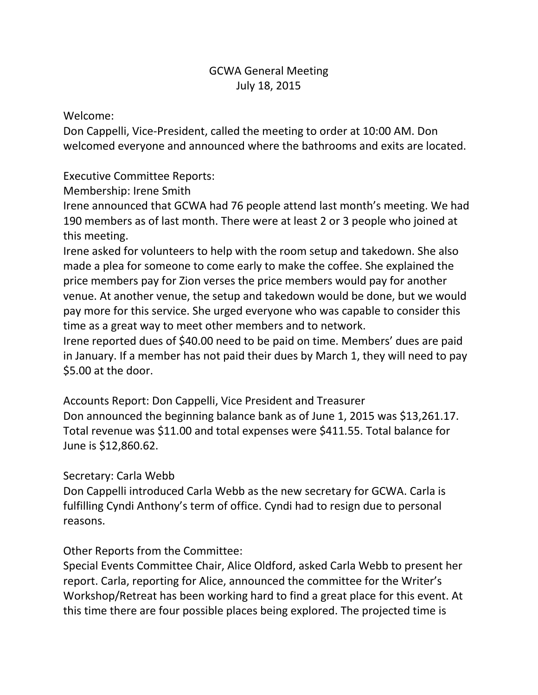## GCWA General Meeting July 18, 2015

Welcome:

Don Cappelli, Vice-President, called the meeting to order at 10:00 AM. Don welcomed everyone and announced where the bathrooms and exits are located.

Executive Committee Reports:

Membership: Irene Smith

Irene announced that GCWA had 76 people attend last month's meeting. We had 190 members as of last month. There were at least 2 or 3 people who joined at this meeting.

Irene asked for volunteers to help with the room setup and takedown. She also made a plea for someone to come early to make the coffee. She explained the price members pay for Zion verses the price members would pay for another venue. At another venue, the setup and takedown would be done, but we would pay more for this service. She urged everyone who was capable to consider this time as a great way to meet other members and to network.

Irene reported dues of \$40.00 need to be paid on time. Members' dues are paid in January. If a member has not paid their dues by March 1, they will need to pay \$5.00 at the door.

Accounts Report: Don Cappelli, Vice President and Treasurer Don announced the beginning balance bank as of June 1, 2015 was \$13,261.17. Total revenue was \$11.00 and total expenses were \$411.55. Total balance for June is \$12,860.62.

## Secretary: Carla Webb

Don Cappelli introduced Carla Webb as the new secretary for GCWA. Carla is fulfilling Cyndi Anthony's term of office. Cyndi had to resign due to personal reasons.

Other Reports from the Committee:

Special Events Committee Chair, Alice Oldford, asked Carla Webb to present her report. Carla, reporting for Alice, announced the committee for the Writer's Workshop/Retreat has been working hard to find a great place for this event. At this time there are four possible places being explored. The projected time is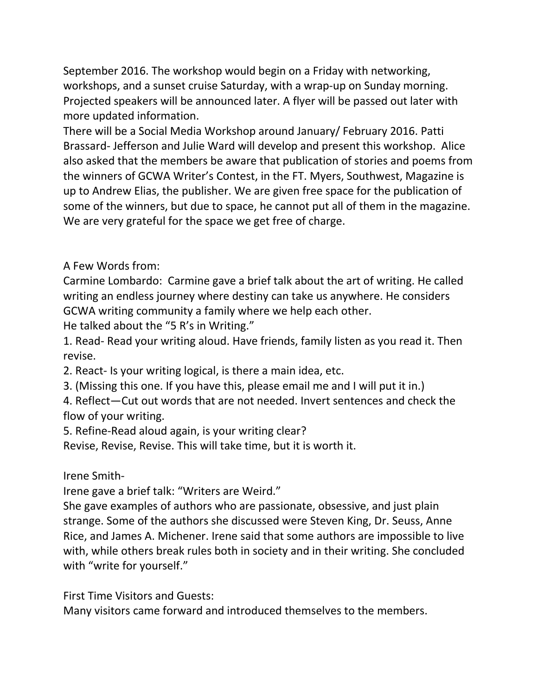September 2016. The workshop would begin on a Friday with networking, workshops, and a sunset cruise Saturday, with a wrap-up on Sunday morning. Projected speakers will be announced later. A flyer will be passed out later with more updated information.

There will be a Social Media Workshop around January/ February 2016. Patti Brassard- Jefferson and Julie Ward will develop and present this workshop. Alice also asked that the members be aware that publication of stories and poems from the winners of GCWA Writer's Contest, in the FT. Myers, Southwest, Magazine is up to Andrew Elias, the publisher. We are given free space for the publication of some of the winners, but due to space, he cannot put all of them in the magazine. We are very grateful for the space we get free of charge.

A Few Words from:

Carmine Lombardo: Carmine gave a brief talk about the art of writing. He called writing an endless journey where destiny can take us anywhere. He considers GCWA writing community a family where we help each other.

He talked about the "5 R's in Writing."

1. Read- Read your writing aloud. Have friends, family listen as you read it. Then revise.

2. React- Is your writing logical, is there a main idea, etc.

3. (Missing this one. If you have this, please email me and I will put it in.)

4. Reflect—Cut out words that are not needed. Invert sentences and check the flow of your writing.

5. Refine-Read aloud again, is your writing clear?

Revise, Revise, Revise. This will take time, but it is worth it.

Irene Smith-

Irene gave a brief talk: "Writers are Weird."

She gave examples of authors who are passionate, obsessive, and just plain strange. Some of the authors she discussed were Steven King, Dr. Seuss, Anne Rice, and James A. Michener. Irene said that some authors are impossible to live with, while others break rules both in society and in their writing. She concluded with "write for yourself."

First Time Visitors and Guests:

Many visitors came forward and introduced themselves to the members.